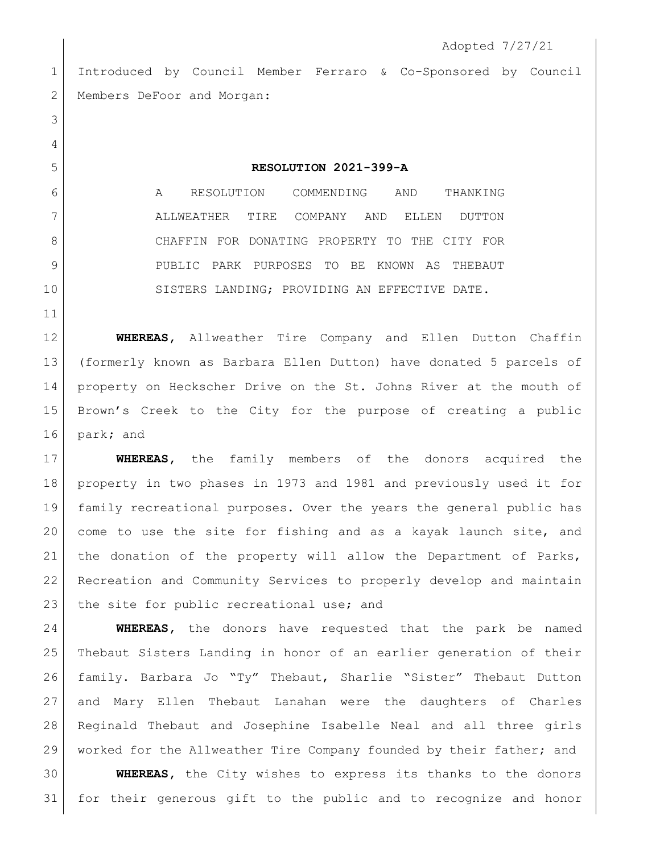Introduced by Council Member Ferraro & Co-Sponsored by Council 2 Members DeFoor and Morgan:

## **RESOLUTION 2021-399-A**

 A RESOLUTION COMMENDING AND THANKING ALLWEATHER TIRE COMPANY AND ELLEN DUTTON CHAFFIN FOR DONATING PROPERTY TO THE CITY FOR PUBLIC PARK PURPOSES TO BE KNOWN AS THEBAUT 10 SISTERS LANDING; PROVIDING AN EFFECTIVE DATE.

 **WHEREAS,** Allweather Tire Company and Ellen Dutton Chaffin (formerly known as Barbara Ellen Dutton) have donated 5 parcels of property on Heckscher Drive on the St. Johns River at the mouth of Brown's Creek to the City for the purpose of creating a public park**;** and

 **WHEREAS,** the family members of the donors acquired the property in two phases in 1973 and 1981 and previously used it for family recreational purposes. Over the years the general public has come to use the site for fishing and as a kayak launch site, and the donation of the property will allow the Department of Parks, Recreation and Community Services to properly develop and maintain 23 the site for public recreational use; and

 **WHEREAS,** the donors have requested that the park be named Thebaut Sisters Landing in honor of an earlier generation of their family. Barbara Jo "Ty" Thebaut, Sharlie "Sister" Thebaut Dutton and Mary Ellen Thebaut Lanahan were the daughters of Charles Reginald Thebaut and Josephine Isabelle Neal and all three girls worked for the Allweather Tire Company founded by their father; and

 **WHEREAS,** the City wishes to express its thanks to the donors for their generous gift to the public and to recognize and honor